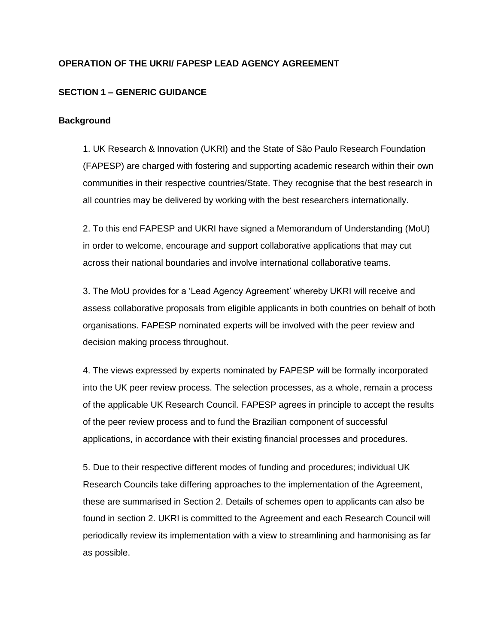## **OPERATION OF THE UKRI/ FAPESP LEAD AGENCY AGREEMENT**

## **SECTION 1 – GENERIC GUIDANCE**

## **Background**

1. UK Research & Innovation (UKRI) and the State of São Paulo Research Foundation (FAPESP) are charged with fostering and supporting academic research within their own communities in their respective countries/State. They recognise that the best research in all countries may be delivered by working with the best researchers internationally.

2. To this end FAPESP and UKRI have signed a Memorandum of Understanding (MoU) in order to welcome, encourage and support collaborative applications that may cut across their national boundaries and involve international collaborative teams.

3. The MoU provides for a 'Lead Agency Agreement' whereby UKRI will receive and assess collaborative proposals from eligible applicants in both countries on behalf of both organisations. FAPESP nominated experts will be involved with the peer review and decision making process throughout.

4. The views expressed by experts nominated by FAPESP will be formally incorporated into the UK peer review process. The selection processes, as a whole, remain a process of the applicable UK Research Council. FAPESP agrees in principle to accept the results of the peer review process and to fund the Brazilian component of successful applications, in accordance with their existing financial processes and procedures.

5. Due to their respective different modes of funding and procedures; individual UK Research Councils take differing approaches to the implementation of the Agreement, these are summarised in Section 2. Details of schemes open to applicants can also be found in section 2. UKRI is committed to the Agreement and each Research Council will periodically review its implementation with a view to streamlining and harmonising as far as possible.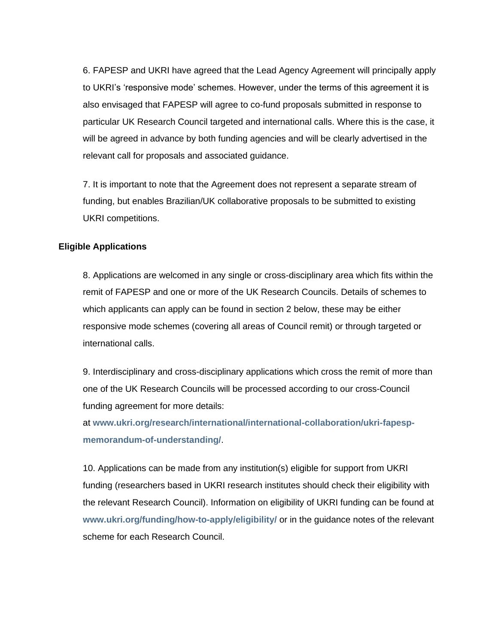6. FAPESP and UKRI have agreed that the Lead Agency Agreement will principally apply to UKRI's 'responsive mode' schemes. However, under the terms of this agreement it is also envisaged that FAPESP will agree to co-fund proposals submitted in response to particular UK Research Council targeted and international calls. Where this is the case, it will be agreed in advance by both funding agencies and will be clearly advertised in the relevant call for proposals and associated guidance.

7. It is important to note that the Agreement does not represent a separate stream of funding, but enables Brazilian/UK collaborative proposals to be submitted to existing UKRI competitions.

#### **Eligible Applications**

8. Applications are welcomed in any single or cross-disciplinary area which fits within the remit of FAPESP and one or more of the UK Research Councils. Details of schemes to which applicants can apply can be found in section 2 below, these may be either responsive mode schemes (covering all areas of Council remit) or through targeted or international calls.

9. Interdisciplinary and cross-disciplinary applications which cross the remit of more than one of the UK Research Councils will be processed according to our cross-Council funding agreement for more details:

at **[www.ukri.org/research/international/international-collaboration/ukri-fapesp](https://www.ukri.org/research/international/international-collaboration/ukri-fapesp-memorandum-of-understanding/)[memorandum-of-understanding/](https://www.ukri.org/research/international/international-collaboration/ukri-fapesp-memorandum-of-understanding/)**.

10. Applications can be made from any institution(s) eligible for support from UKRI funding (researchers based in UKRI research institutes should check their eligibility with the relevant Research Council). Information on eligibility of UKRI funding can be found at **[www.ukri.org/funding/how-to-apply/eligibility/](http://www.ukri.org/funding/how-to-apply/eligibility/)** or in the guidance notes of the relevant scheme for each Research Council.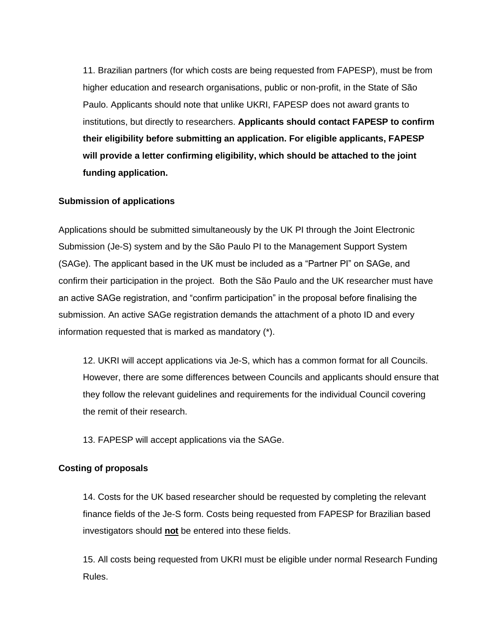11. Brazilian partners (for which costs are being requested from FAPESP), must be from higher education and research organisations, public or non-profit, in the State of São Paulo. Applicants should note that unlike UKRI, FAPESP does not award grants to institutions, but directly to researchers. **Applicants should contact FAPESP to confirm their eligibility before submitting an application. For eligible applicants, FAPESP will provide a letter confirming eligibility, which should be attached to the joint funding application.** 

#### **Submission of applications**

Applications should be submitted simultaneously by the UK PI through the Joint Electronic Submission (Je-S) system and by the São Paulo PI to the Management Support System (SAGe). The applicant based in the UK must be included as a "Partner PI" on SAGe, and confirm their participation in the project. Both the São Paulo and the UK researcher must have an active SAGe registration, and "confirm participation" in the proposal before finalising the submission. An active SAGe registration demands the attachment of a photo ID and every information requested that is marked as mandatory (\*).

12. UKRI will accept applications via Je-S, which has a common format for all Councils. However, there are some differences between Councils and applicants should ensure that they follow the relevant guidelines and requirements for the individual Council covering the remit of their research.

13. FAPESP will accept applications via the SAGe.

### **Costing of proposals**

14. Costs for the UK based researcher should be requested by completing the relevant finance fields of the Je-S form. Costs being requested from FAPESP for Brazilian based investigators should **not** be entered into these fields.

15. All costs being requested from UKRI must be eligible under normal Research Funding Rules.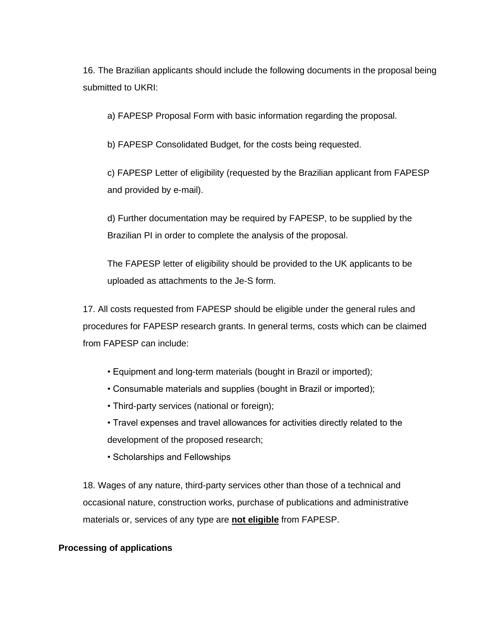16. The Brazilian applicants should include the following documents in the proposal being submitted to UKRI:

a) FAPESP Proposal Form with basic information regarding the proposal.

b) FAPESP Consolidated Budget, for the costs being requested.

c) FAPESP Letter of eligibility (requested by the Brazilian applicant from FAPESP and provided by e-mail).

d) Further documentation may be required by FAPESP, to be supplied by the Brazilian PI in order to complete the analysis of the proposal.

The FAPESP letter of eligibility should be provided to the UK applicants to be uploaded as attachments to the Je-S form.

17. All costs requested from FAPESP should be eligible under the general rules and procedures for FAPESP research grants. In general terms, costs which can be claimed from FAPESP can include:

- Equipment and long-term materials (bought in Brazil or imported);
- Consumable materials and supplies (bought in Brazil or imported);
- Third-party services (national or foreign);

• Travel expenses and travel allowances for activities directly related to the development of the proposed research;

• Scholarships and Fellowships

18. Wages of any nature, third-party services other than those of a technical and occasional nature, construction works, purchase of publications and administrative materials or, services of any type are **not eligible** from FAPESP.

## **Processing of applications**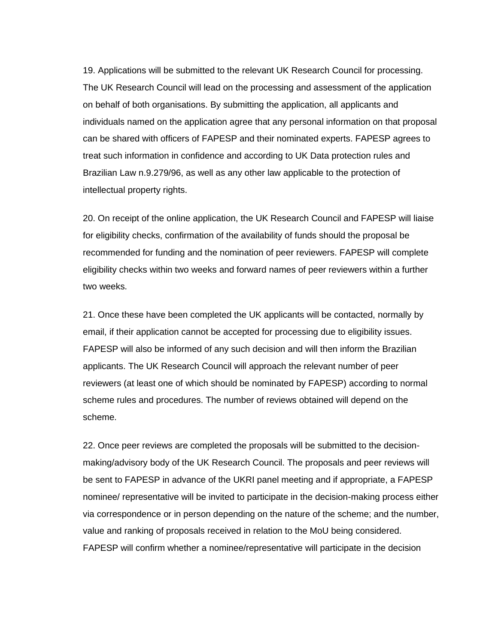19. Applications will be submitted to the relevant UK Research Council for processing. The UK Research Council will lead on the processing and assessment of the application on behalf of both organisations. By submitting the application, all applicants and individuals named on the application agree that any personal information on that proposal can be shared with officers of FAPESP and their nominated experts. FAPESP agrees to treat such information in confidence and according to UK Data protection rules and Brazilian Law n.9.279/96, as well as any other law applicable to the protection of intellectual property rights.

20. On receipt of the online application, the UK Research Council and FAPESP will liaise for eligibility checks, confirmation of the availability of funds should the proposal be recommended for funding and the nomination of peer reviewers. FAPESP will complete eligibility checks within two weeks and forward names of peer reviewers within a further two weeks.

21. Once these have been completed the UK applicants will be contacted, normally by email, if their application cannot be accepted for processing due to eligibility issues. FAPESP will also be informed of any such decision and will then inform the Brazilian applicants. The UK Research Council will approach the relevant number of peer reviewers (at least one of which should be nominated by FAPESP) according to normal scheme rules and procedures. The number of reviews obtained will depend on the scheme.

22. Once peer reviews are completed the proposals will be submitted to the decisionmaking/advisory body of the UK Research Council. The proposals and peer reviews will be sent to FAPESP in advance of the UKRI panel meeting and if appropriate, a FAPESP nominee/ representative will be invited to participate in the decision-making process either via correspondence or in person depending on the nature of the scheme; and the number, value and ranking of proposals received in relation to the MoU being considered. FAPESP will confirm whether a nominee/representative will participate in the decision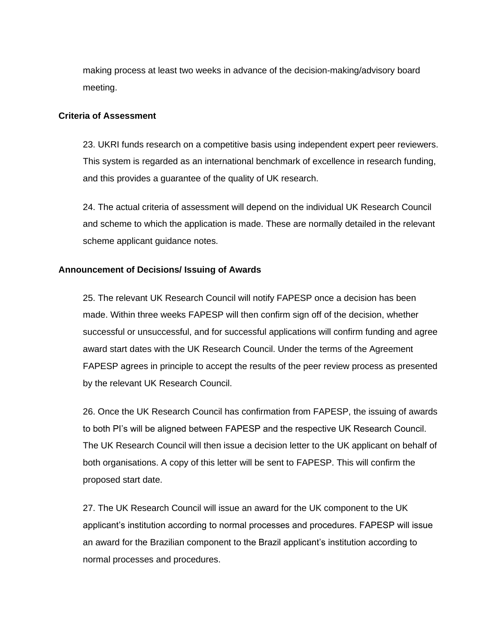making process at least two weeks in advance of the decision-making/advisory board meeting.

#### **Criteria of Assessment**

23. UKRI funds research on a competitive basis using independent expert peer reviewers. This system is regarded as an international benchmark of excellence in research funding, and this provides a guarantee of the quality of UK research.

24. The actual criteria of assessment will depend on the individual UK Research Council and scheme to which the application is made. These are normally detailed in the relevant scheme applicant guidance notes.

#### **Announcement of Decisions/ Issuing of Awards**

25. The relevant UK Research Council will notify FAPESP once a decision has been made. Within three weeks FAPESP will then confirm sign off of the decision, whether successful or unsuccessful, and for successful applications will confirm funding and agree award start dates with the UK Research Council. Under the terms of the Agreement FAPESP agrees in principle to accept the results of the peer review process as presented by the relevant UK Research Council.

26. Once the UK Research Council has confirmation from FAPESP, the issuing of awards to both PI's will be aligned between FAPESP and the respective UK Research Council. The UK Research Council will then issue a decision letter to the UK applicant on behalf of both organisations. A copy of this letter will be sent to FAPESP. This will confirm the proposed start date.

27. The UK Research Council will issue an award for the UK component to the UK applicant's institution according to normal processes and procedures. FAPESP will issue an award for the Brazilian component to the Brazil applicant's institution according to normal processes and procedures.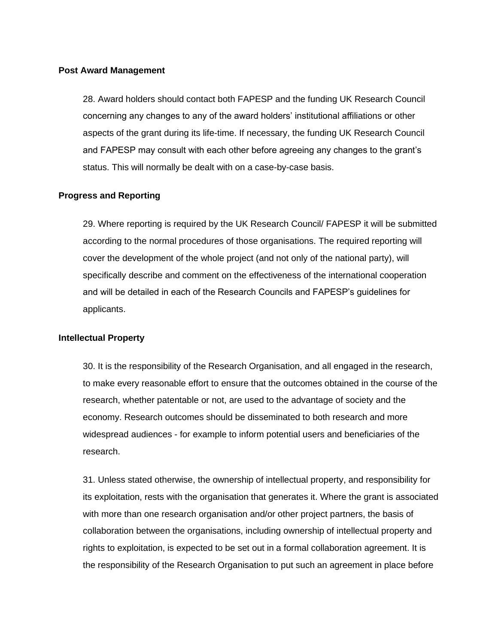#### **Post Award Management**

28. Award holders should contact both FAPESP and the funding UK Research Council concerning any changes to any of the award holders' institutional affiliations or other aspects of the grant during its life-time. If necessary, the funding UK Research Council and FAPESP may consult with each other before agreeing any changes to the grant's status. This will normally be dealt with on a case-by-case basis.

#### **Progress and Reporting**

29. Where reporting is required by the UK Research Council/ FAPESP it will be submitted according to the normal procedures of those organisations. The required reporting will cover the development of the whole project (and not only of the national party), will specifically describe and comment on the effectiveness of the international cooperation and will be detailed in each of the Research Councils and FAPESP's guidelines for applicants.

#### **Intellectual Property**

30. It is the responsibility of the Research Organisation, and all engaged in the research, to make every reasonable effort to ensure that the outcomes obtained in the course of the research, whether patentable or not, are used to the advantage of society and the economy. Research outcomes should be disseminated to both research and more widespread audiences - for example to inform potential users and beneficiaries of the research.

31. Unless stated otherwise, the ownership of intellectual property, and responsibility for its exploitation, rests with the organisation that generates it. Where the grant is associated with more than one research organisation and/or other project partners, the basis of collaboration between the organisations, including ownership of intellectual property and rights to exploitation, is expected to be set out in a formal collaboration agreement. It is the responsibility of the Research Organisation to put such an agreement in place before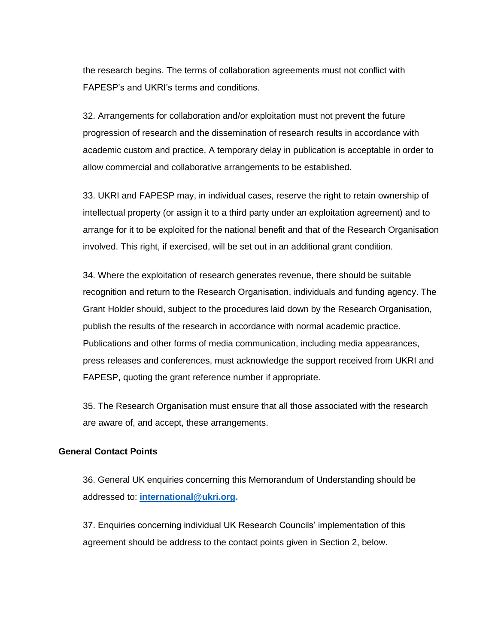the research begins. The terms of collaboration agreements must not conflict with FAPESP's and UKRI's terms and conditions.

32. Arrangements for collaboration and/or exploitation must not prevent the future progression of research and the dissemination of research results in accordance with academic custom and practice. A temporary delay in publication is acceptable in order to allow commercial and collaborative arrangements to be established.

33. UKRI and FAPESP may, in individual cases, reserve the right to retain ownership of intellectual property (or assign it to a third party under an exploitation agreement) and to arrange for it to be exploited for the national benefit and that of the Research Organisation involved. This right, if exercised, will be set out in an additional grant condition.

34. Where the exploitation of research generates revenue, there should be suitable recognition and return to the Research Organisation, individuals and funding agency. The Grant Holder should, subject to the procedures laid down by the Research Organisation, publish the results of the research in accordance with normal academic practice. Publications and other forms of media communication, including media appearances, press releases and conferences, must acknowledge the support received from UKRI and FAPESP, quoting the grant reference number if appropriate.

35. The Research Organisation must ensure that all those associated with the research are aware of, and accept, these arrangements.

## **General Contact Points**

36. General UK enquiries concerning this Memorandum of Understanding should be addressed to: **[international@ukri.org.](mailto:international@ukri.org)**

37. Enquiries concerning individual UK Research Councils' implementation of this agreement should be address to the contact points given in Section 2, below.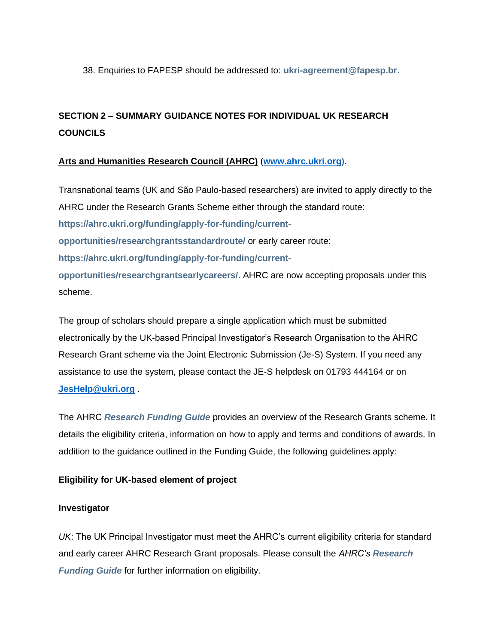38. Enquiries to FAPESP should be addressed to: **[ukri-agreement@fapesp.br](mailto:ukri-agreement@fapesp.br)**.

## **SECTION 2 – SUMMARY GUIDANCE NOTES FOR INDIVIDUAL UK RESEARCH COUNCILS**

## **Arts and Humanities Research Council (AHRC)** (**[www.ahrc.ukri.org\)](http://www.ahrc.ukri.org/)**.

Transnational teams (UK and São Paulo-based researchers) are invited to apply directly to the AHRC under the Research Grants Scheme either through the standard route: **[https://ahrc.ukri.org/funding/apply-for-funding/current](https://ahrc.ukri.org/funding/apply-for-funding/current-opportunities/researchgrantsstandardroute/)[opportunities/researchgrantsstandardroute/](https://ahrc.ukri.org/funding/apply-for-funding/current-opportunities/researchgrantsstandardroute/)** or early career route: **[https://ahrc.ukri.org/funding/apply-for-funding/current](https://ahrc.ukri.org/funding/apply-for-funding/current-opportunities/researchgrantsearlycareers/)[opportunities/researchgrantsearlycareers/](https://ahrc.ukri.org/funding/apply-for-funding/current-opportunities/researchgrantsearlycareers/)**. AHRC are now accepting proposals under this scheme.

The group of scholars should prepare a single application which must be submitted electronically by the UK-based Principal Investigator's Research Organisation to the AHRC Research Grant scheme via the Joint Electronic Submission (Je-S) System. If you need any assistance to use the system, please contact the JE-S helpdesk on 01793 444164 or on **[JesHelp@ukri.org](mailto:JesHelp@ukri.org)** .

The AHRC *[Research Funding Guide](http://www.ahrc.ac.uk/documents/guides/research-funding-guide/)* provides an overview of the Research Grants scheme. It details the eligibility criteria, information on how to apply and terms and conditions of awards. In addition to the guidance outlined in the Funding Guide, the following guidelines apply:

## **Eligibility for UK-based element of project**

## **Investigator**

*UK*: The UK Principal Investigator must meet the AHRC's current eligibility criteria for standard and early career AHRC Research Grant proposals. Please consult the *AHRC's [Research](http://www.ahrc.ac.uk/documents/guides/research-funding-guide/)  [Funding Guide](http://www.ahrc.ac.uk/documents/guides/research-funding-guide/)* for further information on eligibility.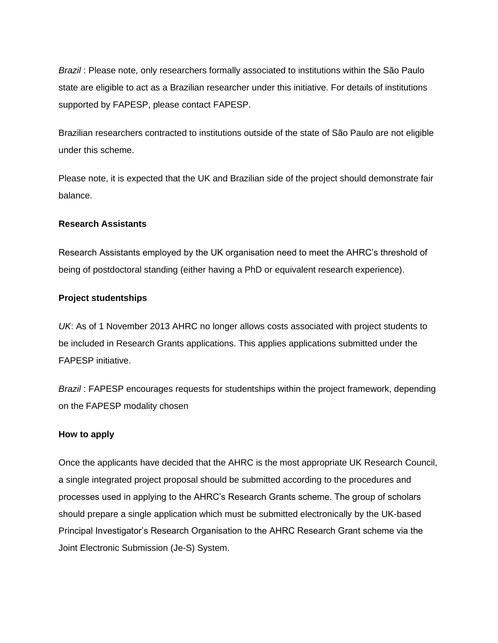*Brazil* : Please note, only researchers formally associated to institutions within the São Paulo state are eligible to act as a Brazilian researcher under this initiative. For details of institutions supported by FAPESP, please contact FAPESP.

Brazilian researchers contracted to institutions outside of the state of São Paulo are not eligible under this scheme.

Please note, it is expected that the UK and Brazilian side of the project should demonstrate fair balance.

#### **Research Assistants**

Research Assistants employed by the UK organisation need to meet the AHRC's threshold of being of postdoctoral standing (either having a PhD or equivalent research experience).

#### **Project studentships**

*UK*: As of 1 November 2013 AHRC no longer allows costs associated with project students to be included in Research Grants applications. This applies applications submitted under the FAPESP initiative.

*Brazil* : FAPESP encourages requests for studentships within the project framework, depending on the FAPESP modality chosen

#### **How to apply**

Once the applicants have decided that the AHRC is the most appropriate UK Research Council, a single integrated project proposal should be submitted according to the procedures and processes used in applying to the AHRC's Research Grants scheme. The group of scholars should prepare a single application which must be submitted electronically by the UK-based Principal Investigator's Research Organisation to the AHRC Research Grant scheme via the Joint Electronic Submission (Je-S) System.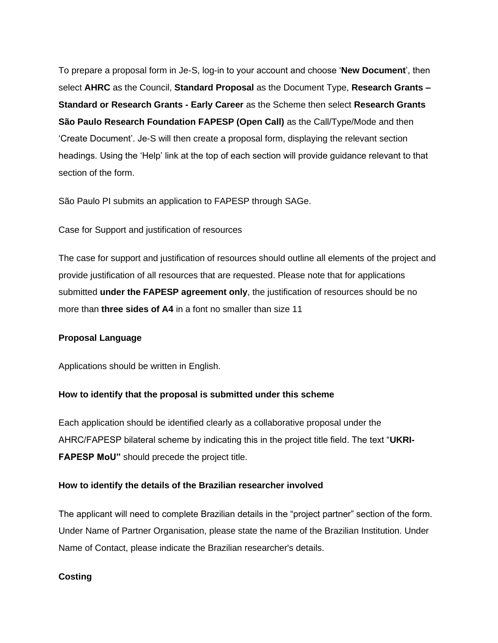To prepare a proposal form in Je-S, log-in to your account and choose '**New Document**', then select **AHRC** as the Council, **Standard Proposal** as the Document Type, **Research Grants – Standard or Research Grants - Early Career** as the Scheme then select **Research Grants São Paulo Research Foundation FAPESP (Open Call)** as the Call/Type/Mode and then 'Create Document'. Je-S will then create a proposal form, displaying the relevant section headings. Using the 'Help' link at the top of each section will provide guidance relevant to that section of the form.

São Paulo PI submits an application to FAPESP through SAGe.

Case for Support and justification of resources

The case for support and justification of resources should outline all elements of the project and provide justification of all resources that are requested. Please note that for applications submitted **under the FAPESP agreement only**, the justification of resources should be no more than **three sides of A4** in a font no smaller than size 11

#### **Proposal Language**

Applications should be written in English.

#### **How to identify that the proposal is submitted under this scheme**

Each application should be identified clearly as a collaborative proposal under the AHRC/FAPESP bilateral scheme by indicating this in the project title field. The text "**UKRI-FAPESP MoU"** should precede the project title.

#### **How to identify the details of the Brazilian researcher involved**

The applicant will need to complete Brazilian details in the "project partner" section of the form. Under Name of Partner Organisation, please state the name of the Brazilian Institution. Under Name of Contact, please indicate the Brazilian researcher's details.

#### **Costing**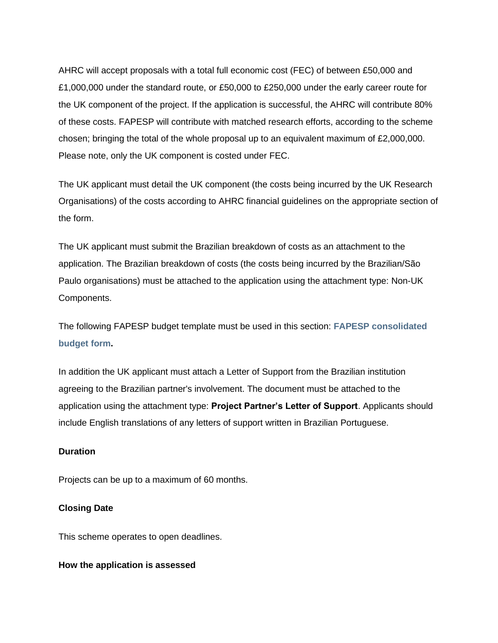AHRC will accept proposals with a total full economic cost (FEC) of between £50,000 and £1,000,000 under the standard route, or £50,000 to £250,000 under the early career route for the UK component of the project. If the application is successful, the AHRC will contribute 80% of these costs. FAPESP will contribute with matched research efforts, according to the scheme chosen; bringing the total of the whole proposal up to an equivalent maximum of £2,000,000. Please note, only the UK component is costed under FEC.

The UK applicant must detail the UK component (the costs being incurred by the UK Research Organisations) of the costs according to AHRC financial guidelines on the appropriate section of the form.

The UK applicant must submit the Brazilian breakdown of costs as an attachment to the application. The Brazilian breakdown of costs (the costs being incurred by the Brazilian/São Paulo organisations) must be attached to the application using the attachment type: Non-UK Components.

The following FAPESP budget template must be used in this section: **[FAPESP consolidated](http://www.fapesp.br/en/5339)  [budget form.](http://www.fapesp.br/en/5339)**

In addition the UK applicant must attach a Letter of Support from the Brazilian institution agreeing to the Brazilian partner's involvement. The document must be attached to the application using the attachment type: **Project Partner's Letter of Support**. Applicants should include English translations of any letters of support written in Brazilian Portuguese.

## **Duration**

Projects can be up to a maximum of 60 months.

### **Closing Date**

This scheme operates to open deadlines.

#### **How the application is assessed**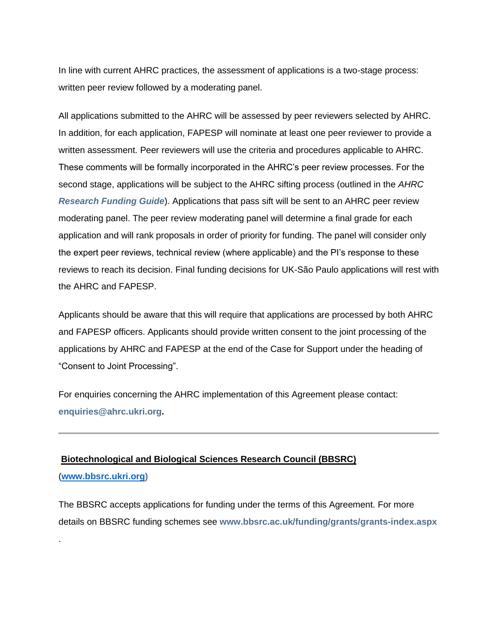In line with current AHRC practices, the assessment of applications is a two-stage process: written peer review followed by a moderating panel.

All applications submitted to the AHRC will be assessed by peer reviewers selected by AHRC. In addition, for each application, FAPESP will nominate at least one peer reviewer to provide a written assessment. Peer reviewers will use the criteria and procedures applicable to AHRC. These comments will be formally incorporated in the AHRC's peer review processes. For the second stage, applications will be subject to the AHRC sifting process (outlined in the *AHRC [Research Funding Guide](http://www.ahrc.ac.uk/documents/guides/research-funding-guide/)*). Applications that pass sift will be sent to an AHRC peer review moderating panel. The peer review moderating panel will determine a final grade for each application and will rank proposals in order of priority for funding. The panel will consider only the expert peer reviews, technical review (where applicable) and the PI's response to these reviews to reach its decision. Final funding decisions for UK-São Paulo applications will rest with the AHRC and FAPESP.

Applicants should be aware that this will require that applications are processed by both AHRC and FAPESP officers. Applicants should provide written consent to the joint processing of the applications by AHRC and FAPESP at the end of the Case for Support under the heading of "Consent to Joint Processing".

For enquiries concerning the AHRC implementation of this Agreement please contact: **[enquiries@ahrc.ukri.org.](mailto:enquiries@ahrc.ukri.org)**

# **Biotechnological and Biological Sciences Research Council (BBSRC)**

#### (**[www.bbsrc.ukri.org\)](http://www.bbsrc.ukri.org/)**

.

The BBSRC accepts applications for funding under the terms of this Agreement. For more details on BBSRC funding schemes see **[www.bbsrc.ac.uk/funding/grants/grants-index.aspx](http://www.bbsrc.ac.uk/funding/grants/grants-index.aspx)**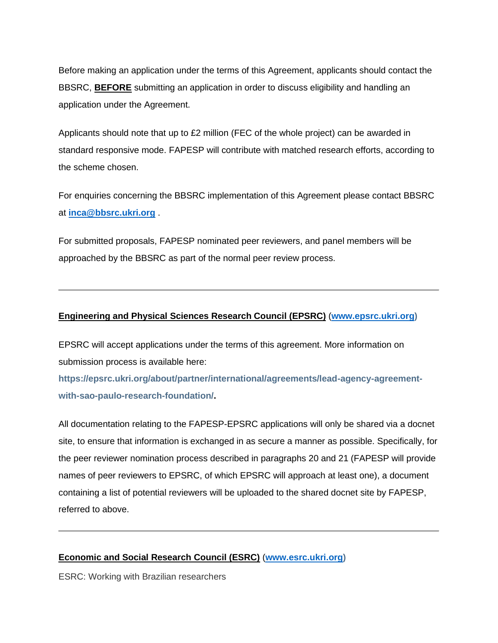Before making an application under the terms of this Agreement, applicants should contact the BBSRC, **BEFORE** submitting an application in order to discuss eligibility and handling an application under the Agreement.

Applicants should note that up to £2 million (FEC of the whole project) can be awarded in standard responsive mode. FAPESP will contribute with matched research efforts, according to the scheme chosen.

For enquiries concerning the BBSRC implementation of this Agreement please contact BBSRC at **[inca@bbsrc.ukri.org](mailto:inca@bbsrc.ukri.org)** .

For submitted proposals, FAPESP nominated peer reviewers, and panel members will be approached by the BBSRC as part of the normal peer review process.

#### **Engineering and Physical Sciences Research Council (EPSRC)** (**[www.epsrc.ukri.org\)](http://www.epsrc.ukri.org/)**

EPSRC will accept applications under the terms of this agreement. More information on submission process is available here:

**[https://epsrc.ukri.org/about/partner/international/agreements/lead-agency-agreement](https://epsrc.ukri.org/about/partner/international/agreements/lead-agency-agreement-with-sao-paulo-research-foundation/)[with-sao-paulo-research-foundation/.](https://epsrc.ukri.org/about/partner/international/agreements/lead-agency-agreement-with-sao-paulo-research-foundation/)**

All documentation relating to the FAPESP-EPSRC applications will only be shared via a docnet site, to ensure that information is exchanged in as secure a manner as possible. Specifically, for the peer reviewer nomination process described in paragraphs 20 and 21 (FAPESP will provide names of peer reviewers to EPSRC, of which EPSRC will approach at least one), a document containing a list of potential reviewers will be uploaded to the shared docnet site by FAPESP, referred to above.

#### **Economic and Social Research Council (ESRC)** (**[www.esrc.ukri.org\)](http://www.esrc.ukri.org/)**

ESRC: Working with Brazilian researchers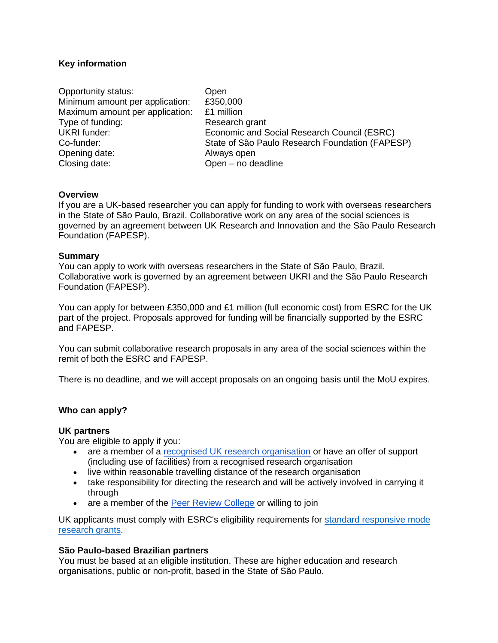#### **Key information**

| Open                                            |
|-------------------------------------------------|
| £350,000                                        |
| £1 million                                      |
| Research grant                                  |
| Economic and Social Research Council (ESRC)     |
| State of São Paulo Research Foundation (FAPESP) |
| Always open                                     |
| Open - no deadline                              |
|                                                 |

#### **Overview**

If you are a UK-based researcher you can apply for funding to work with overseas researchers in the State of São Paulo, Brazil. Collaborative work on any area of the social sciences is governed by an agreement between UK Research and Innovation and the São Paulo Research Foundation (FAPESP).

#### **Summary**

You can apply to work with overseas researchers in the State of São Paulo, Brazil. Collaborative work is governed by an agreement between UKRI and the São Paulo Research Foundation (FAPESP).

You can apply for between £350,000 and £1 million (full economic cost) from ESRC for the UK part of the project. Proposals approved for funding will be financially supported by the ESRC and FAPESP.

You can submit collaborative research proposals in any area of the social sciences within the remit of both the ESRC and FAPESP.

There is no deadline, and we will accept proposals on an ongoing basis until the MoU expires.

#### **Who can apply?**

#### **UK partners**

You are eligible to apply if you:

- are a member of a [recognised UK research organisation](https://www.ukri.org/funding/how-to-apply/eligibility/) or have an offer of support (including use of facilities) from a recognised research organisation
- live within reasonable travelling distance of the research organisation
- take responsibility for directing the research and will be actively involved in carrying it through
- are a member of the [Peer Review College](https://esrc.ukri.org/funding/guidance-for-peer-reviewers/peer-review-college/) or willing to join

UK applicants must comply with ESRC's eligibility requirements for [standard responsive mode](https://esrc.ukri.org/funding/funding-opportunities/research-grants/)  [research grants.](https://esrc.ukri.org/funding/funding-opportunities/research-grants/)

#### **São Paulo-based Brazilian partners**

You must be based at an eligible institution. These are higher education and research organisations, public or non-profit, based in the State of São Paulo.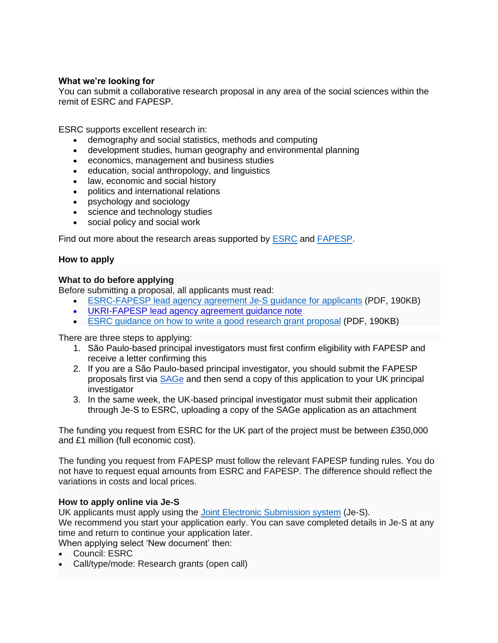### **What we're looking for**

You can submit a collaborative research proposal in any area of the social sciences within the remit of ESRC and FAPESP.

ESRC supports excellent research in:

- demography and social statistics, methods and computing
- development studies, human geography and environmental planning
- economics, management and business studies
- education, social anthropology, and linguistics
- law, economic and social history
- politics and international relations
- psychology and sociology
- science and technology studies
- social policy and social work

Find out more about the research areas supported by [ESRC](https://esrc.ukri.org/about-us/what-is-social-science/social-science-disciplines/) and [FAPESP.](https://bv.fapesp.br/en/temas/)

#### **How to apply**

#### **What to do before applying**

Before submitting a proposal, all applicants must read:

- [ESRC-FAPESP lead agency agreement Je-S guidance for applicants](https://esrc.ukri.org/files/funding/funding-opportunities/bilateral-agreements/rcuk-fapesp-je-s-guidance/) (PDF, 190KB)
- [UKRI-FAPESP lead agency agreement guidance note](https://www.ukri.org/research/international/international-collaboration/ukri-fapesp-memorandum-of-understanding/)
- [ESRC guidance on how to write a good research grant proposal](https://esrc.ukri.org/funding/guidance-for-applicants/how-to-write-a-goodresearchgrant-proposal/) (PDF, 190KB)

There are three steps to applying:

- 1. São Paulo-based principal investigators must first confirm eligibility with FAPESP and receive a letter confirming this
- 2. If you are a São Paulo-based principal investigator, you should submit the FAPESP proposals first via [SAGe](http://www.fapesp.br/en/10320) and then send a copy of this application to your UK principal investigator
- 3. In the same week, the UK-based principal investigator must submit their application through Je-S to ESRC, uploading a copy of the SAGe application as an attachment

The funding you request from ESRC for the UK part of the project must be between £350,000 and £1 million (full economic cost).

The funding you request from FAPESP must follow the relevant FAPESP funding rules. You do not have to request equal amounts from ESRC and FAPESP. The difference should reflect the variations in costs and local prices.

#### **How to apply online via Je-S**

UK applicants must apply using the [Joint Electronic Submission system](https://je-s.rcuk.ac.uk/JeS2WebLoginSite/Login.aspx) (Je-S). We recommend you start your application early. You can save completed details in Je-S at any time and return to continue your application later. When applying select 'New document' then:

- Council: ESRC
- Call/type/mode: Research grants (open call)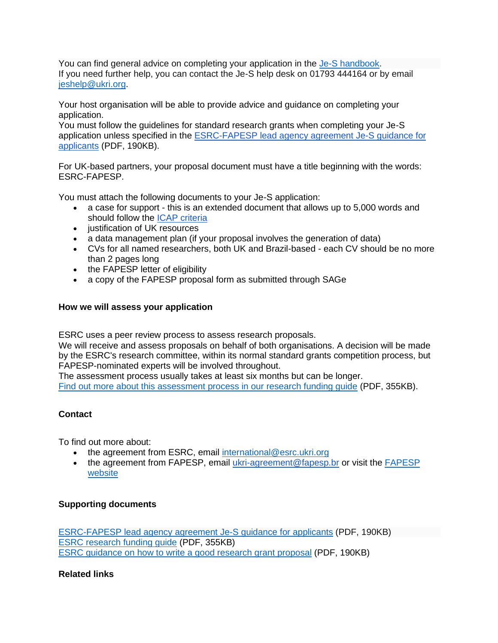You can find general advice on completing your application in the [Je-S handbook.](https://je-s.rcuk.ac.uk/Handbook/index.htm) If you need further help, you can contact the Je-S help desk on 01793 444164 or by email [jeshelp@ukri.org.](mailto:jeshelp@ukri.org)

Your host organisation will be able to provide advice and guidance on completing your application.

You must follow the guidelines for standard research grants when completing your Je-S application unless specified in the [ESRC-FAPESP lead agency agreement Je-S guidance for](https://esrc.ukri.org/files/funding/funding-opportunities/bilateral-agreements/rcuk-fapesp-je-s-guidance/)  [applicants](https://esrc.ukri.org/files/funding/funding-opportunities/bilateral-agreements/rcuk-fapesp-je-s-guidance/) (PDF, 190KB).

For UK-based partners, your proposal document must have a title beginning with the words: ESRC-FAPESP.

You must attach the following documents to your Je-S application:

- a case for support this is an extended document that allows up to 5,000 words and should follow the [ICAP criteria](https://esrc.ukri.org/funding/guidance-for-applicants/international-common-application-process-icap/)
- justification of UK resources
- a data management plan (if your proposal involves the generation of data)
- CVs for all named researchers, both UK and Brazil-based each CV should be no more than 2 pages long
- the FAPESP letter of eligibility
- a copy of the FAPESP proposal form as submitted through SAGe

## **How we will assess your application**

ESRC uses a peer review process to assess research proposals.

We will receive and assess proposals on behalf of both organisations. A decision will be made by the ESRC's research committee, within its normal standard grants competition process, but FAPESP-nominated experts will be involved throughout.

The assessment process usually takes at least six months but can be longer. [Find out more about this assessment process in our research funding guide](https://esrc.ukri.org/files/funding/guidance-for-applicants/research-funding-guide/) (PDF, 355KB).

## **Contact**

To find out more about:

- the agreement from ESRC, email [international@esrc.ukri.org](mailto:international@esrc.ukri.org)
- the agreement from FAPESP, email [ukri-agreement@fapesp.br](mailto:ukri-agreement@fapesp.br) or visit the FAPESP [website](http://www.fapesp.br/en/)

## **Supporting documents**

[ESRC-FAPESP lead agency agreement Je-S guidance for applicants](https://esrc.ukri.org/files/funding/funding-opportunities/bilateral-agreements/rcuk-fapesp-je-s-guidance/) (PDF, 190KB) [ESRC research funding guide](https://esrc.ukri.org/files/funding/guidance-for-applicants/research-funding-guide/) (PDF, 355KB) [ESRC guidance on how to write a good research grant proposal](https://esrc.ukri.org/funding/guidance-for-applicants/how-to-write-a-goodresearchgrant-proposal/) (PDF, 190KB)

## **Related links**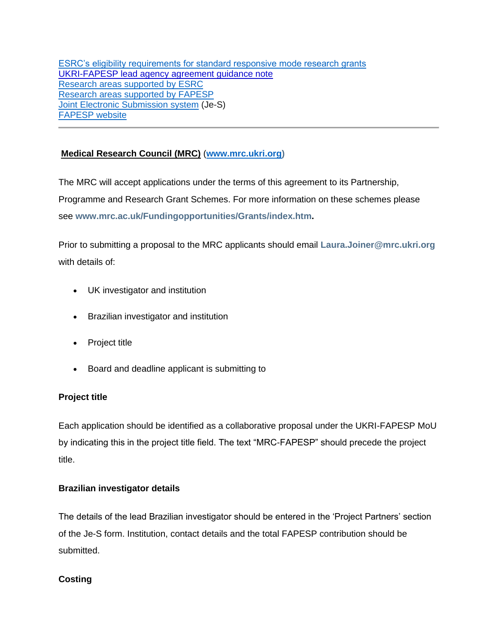[ESRC's eligibility requirements for standard responsive mode research grants](https://esrc.ukri.org/funding/funding-opportunities/research-grants/) [UKRI-FAPESP lead agency agreement guidance note](https://www.ukri.org/research/international/international-collaboration/ukri-fapesp-memorandum-of-understanding/) [Research areas supported by ESRC](https://esrc.ukri.org/about-us/what-is-social-science/social-science-disciplines/) [Research areas supported by FAPESP](https://bv.fapesp.br/en/temas/) [Joint Electronic Submission system](https://je-s.rcuk.ac.uk/JeS2WebLoginSite/Login.aspx) (Je-S) [FAPESP website](http://www.fapesp.br/en/)

## **Medical Research Council (MRC)** (**[www.mrc.ukri.org\)](http://www.mrc.ukri.org/)**

The MRC will accept applications under the terms of this agreement to its Partnership, Programme and Research Grant Schemes. For more information on these schemes please see **[www.mrc.ac.uk/Fundingopportunities/Grants/index.htm.](http://www.mrc.ac.uk/Fundingopportunities/Grants/index.htm)**

Prior to submitting a proposal to the MRC applicants should email **[Laura.Joiner@mrc.ukri.org](mailto:Laura.Joiner@mrc.ukri.org)** with details of:

- UK investigator and institution
- Brazilian investigator and institution
- Project title
- Board and deadline applicant is submitting to

## **Project title**

Each application should be identified as a collaborative proposal under the UKRI-FAPESP MoU by indicating this in the project title field. The text "MRC-FAPESP" should precede the project title.

## **Brazilian investigator details**

The details of the lead Brazilian investigator should be entered in the 'Project Partners' section of the Je-S form. Institution, contact details and the total FAPESP contribution should be submitted.

## **Costing**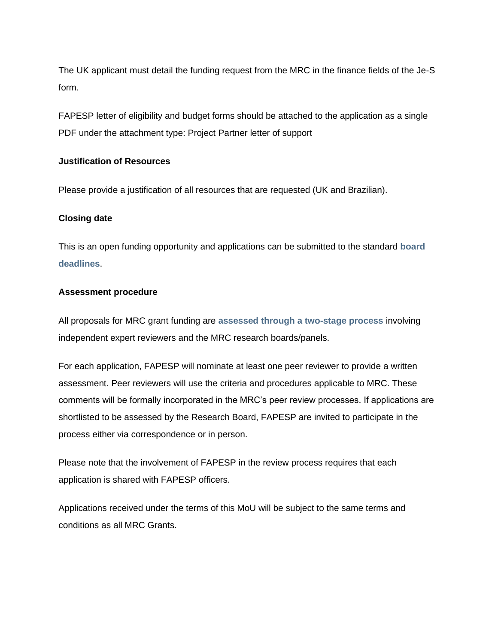The UK applicant must detail the funding request from the MRC in the finance fields of the Je-S form.

FAPESP letter of eligibility and budget forms should be attached to the application as a single PDF under the attachment type: Project Partner letter of support

## **Justification of Resources**

Please provide a justification of all resources that are requested (UK and Brazilian).

#### **Closing date**

This is an open funding opportunity and applications can be submitted to the standard **[board](http://www.mrc.ac.uk/Fundingopportunities/Deadlines/index.htm)  [deadlines](http://www.mrc.ac.uk/Fundingopportunities/Deadlines/index.htm)**.

#### **Assessment procedure**

All proposals for MRC grant funding are **[assessed through a two-stage process](https://mrc.ukri.org/documents/pdf/guidance-for-applicants/)** involving independent expert reviewers and the MRC research boards/panels.

For each application, FAPESP will nominate at least one peer reviewer to provide a written assessment. Peer reviewers will use the criteria and procedures applicable to MRC. These comments will be formally incorporated in the MRC's peer review processes. If applications are shortlisted to be assessed by the Research Board, FAPESP are invited to participate in the process either via correspondence or in person.

Please note that the involvement of FAPESP in the review process requires that each application is shared with FAPESP officers.

Applications received under the terms of this MoU will be subject to the same terms and conditions as all MRC Grants.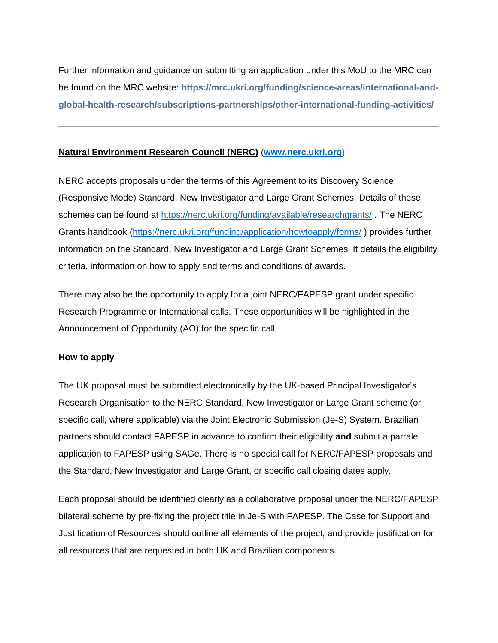Further information and guidance on submitting an application under this MoU to the MRC can be found on the MRC website: **[https://mrc.ukri.org/funding/science-areas/international-and](https://mrc.ukri.org/funding/science-areas/international-and-global-health-research/subscriptions-partnerships/other-international-funding-activities/)[global-health-research/subscriptions-partnerships/other-international-funding-activities/](https://mrc.ukri.org/funding/science-areas/international-and-global-health-research/subscriptions-partnerships/other-international-funding-activities/)** 

## **Natural Environment Research Council (NERC)** (**[www.nerc.ukri.org\)](http://www.nerc.ukri.org/)**

NERC accepts proposals under the terms of this Agreement to its Discovery Science (Responsive Mode) Standard, New Investigator and Large Grant Schemes. Details of these schemes can be found at <https://nerc.ukri.org/funding/available/researchgrants/> . The NERC Grants handbook [\(https://nerc.ukri.org/funding/application/howtoapply/forms/](https://nerc.ukri.org/funding/application/howtoapply/forms/) ) provides further information on the Standard, New Investigator and Large Grant Schemes. It details the eligibility criteria, information on how to apply and terms and conditions of awards.

There may also be the opportunity to apply for a joint NERC/FAPESP grant under specific Research Programme or International calls. These opportunities will be highlighted in the Announcement of Opportunity (AO) for the specific call.

## **How to apply**

The UK proposal must be submitted electronically by the UK-based Principal Investigator's Research Organisation to the NERC Standard, New Investigator or Large Grant scheme (or specific call, where applicable) via the Joint Electronic Submission (Je-S) System. Brazilian partners should contact FAPESP in advance to confirm their eligibility **and** submit a parralel application to FAPESP using SAGe. There is no special call for NERC/FAPESP proposals and the Standard, New Investigator and Large Grant, or specific call closing dates apply.

Each proposal should be identified clearly as a collaborative proposal under the NERC/FAPESP bilateral scheme by pre-fixing the project title in Je-S with FAPESP. The Case for Support and Justification of Resources should outline all elements of the project, and provide justification for all resources that are requested in both UK and Brazilian components.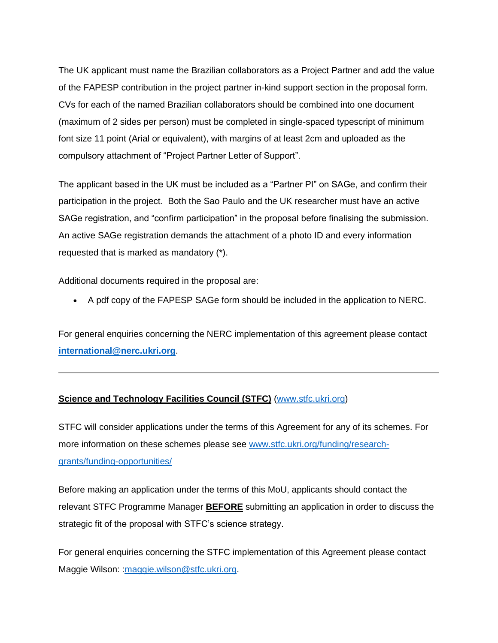The UK applicant must name the Brazilian collaborators as a Project Partner and add the value of the FAPESP contribution in the project partner in-kind support section in the proposal form. CVs for each of the named Brazilian collaborators should be combined into one document (maximum of 2 sides per person) must be completed in single-spaced typescript of minimum font size 11 point (Arial or equivalent), with margins of at least 2cm and uploaded as the compulsory attachment of "Project Partner Letter of Support".

The applicant based in the UK must be included as a "Partner PI" on SAGe, and confirm their participation in the project. Both the Sao Paulo and the UK researcher must have an active SAGe registration, and "confirm participation" in the proposal before finalising the submission. An active SAGe registration demands the attachment of a photo ID and every information requested that is marked as mandatory (\*).

Additional documents required in the proposal are:

• A pdf copy of the FAPESP SAGe form should be included in the application to NERC.

For general enquiries concerning the NERC implementation of this agreement please contact **[international@nerc.ukri.org](mailto:researchgrants@nerc.ukri.org)**.

## **Science and Technology Facilities Council (STFC)** [\(www.stfc.ukri.org\)](http://www.stfc.ukri.org/)

STFC will consider applications under the terms of this Agreement for any of its schemes. For more information on these schemes please see [www.stfc.ukri.org/funding/research](http://www.stfc.ukri.org/funding/research-grants/funding-opportunities/)[grants/funding-opportunities/](http://www.stfc.ukri.org/funding/research-grants/funding-opportunities/)

Before making an application under the terms of this MoU, applicants should contact the relevant STFC Programme Manager **BEFORE** submitting an application in order to discuss the strategic fit of the proposal with STFC's science strategy.

For general enquiries concerning the STFC implementation of this Agreement please contact Maggie Wilson: : maggie.wilson@stfc.ukri.org.